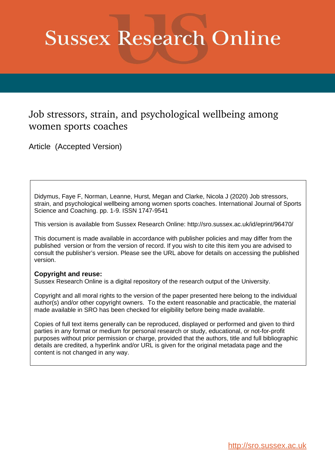# **Sussex Research Online**

### Job stressors, strain, and psychological wellbeing among women sports coaches

Article (Accepted Version)

Didymus, Faye F, Norman, Leanne, Hurst, Megan and Clarke, Nicola J (2020) Job stressors, strain, and psychological wellbeing among women sports coaches. International Journal of Sports Science and Coaching. pp. 1-9. ISSN 1747-9541

This version is available from Sussex Research Online: http://sro.sussex.ac.uk/id/eprint/96470/

This document is made available in accordance with publisher policies and may differ from the published version or from the version of record. If you wish to cite this item you are advised to consult the publisher's version. Please see the URL above for details on accessing the published version.

#### **Copyright and reuse:**

Sussex Research Online is a digital repository of the research output of the University.

Copyright and all moral rights to the version of the paper presented here belong to the individual author(s) and/or other copyright owners. To the extent reasonable and practicable, the material made available in SRO has been checked for eligibility before being made available.

Copies of full text items generally can be reproduced, displayed or performed and given to third parties in any format or medium for personal research or study, educational, or not-for-profit purposes without prior permission or charge, provided that the authors, title and full bibliographic details are credited, a hyperlink and/or URL is given for the original metadata page and the content is not changed in any way.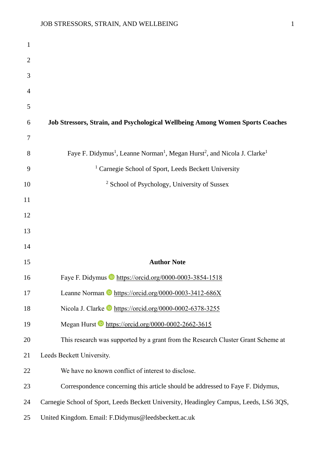| 1              |                                                                                                                          |
|----------------|--------------------------------------------------------------------------------------------------------------------------|
| $\overline{2}$ |                                                                                                                          |
| 3              |                                                                                                                          |
| 4              |                                                                                                                          |
| 5              |                                                                                                                          |
| 6              | Job Stressors, Strain, and Psychological Wellbeing Among Women Sports Coaches                                            |
| 7              |                                                                                                                          |
| 8              | Faye F. Didymus <sup>1</sup> , Leanne Norman <sup>1</sup> , Megan Hurst <sup>2</sup> , and Nicola J. Clarke <sup>1</sup> |
| 9              | <sup>1</sup> Carnegie School of Sport, Leeds Beckett University                                                          |
| 10             | <sup>2</sup> School of Psychology, University of Sussex                                                                  |
| 11             |                                                                                                                          |
| 12             |                                                                                                                          |
| 13             |                                                                                                                          |
| 14             |                                                                                                                          |
| 15             | <b>Author Note</b>                                                                                                       |
| 16             | Faye F. Didymus D https://orcid.org/0000-0003-3854-1518                                                                  |
| 17             | Leanne Norman https://orcid.org/0000-0003-3412-686X                                                                      |
| 18             | Nicola J. Clarke https://orcid.org/0000-0002-6378-3255                                                                   |
| 19             | Megan Hurst https://orcid.org/0000-0002-2662-3615                                                                        |
| 20             | This research was supported by a grant from the Research Cluster Grant Scheme at                                         |
| 21             | Leeds Beckett University.                                                                                                |
| 22             | We have no known conflict of interest to disclose.                                                                       |
| 23             | Correspondence concerning this article should be addressed to Faye F. Didymus,                                           |
| 24             | Carnegie School of Sport, Leeds Beckett University, Headingley Campus, Leeds, LS6 3QS,                                   |
| 25             | United Kingdom. Email: F.Didymus@leedsbeckett.ac.uk                                                                      |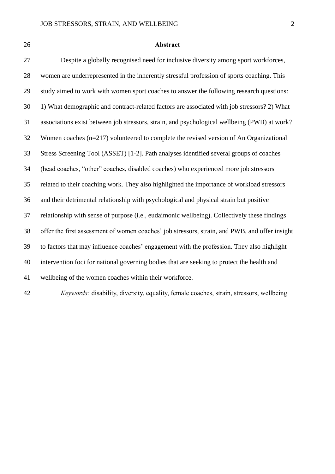#### **Abstract**

 Despite a globally recognised need for inclusive diversity among sport workforces, women are underrepresented in the inherently stressful profession of sports coaching. This study aimed to work with women sport coaches to answer the following research questions: 1) What demographic and contract-related factors are associated with job stressors? 2) What associations exist between job stressors, strain, and psychological wellbeing (PWB) at work? Women coaches (n=217) volunteered to complete the revised version of An Organizational Stress Screening Tool (ASSET) [1-2]. Path analyses identified several groups of coaches (head coaches, "other" coaches, disabled coaches) who experienced more job stressors related to their coaching work. They also highlighted the importance of workload stressors and their detrimental relationship with psychological and physical strain but positive relationship with sense of purpose (i.e., eudaimonic wellbeing). Collectively these findings offer the first assessment of women coaches' job stressors, strain, and PWB, and offer insight to factors that may influence coaches' engagement with the profession. They also highlight intervention foci for national governing bodies that are seeking to protect the health and wellbeing of the women coaches within their workforce.

*Keywords:* disability, diversity, equality, female coaches, strain, stressors, wellbeing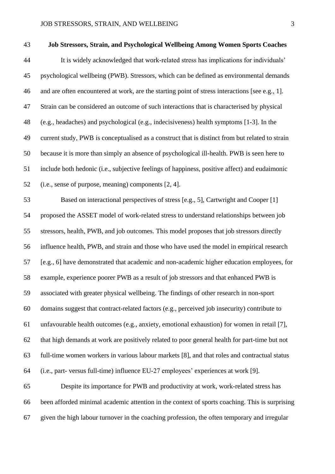## **Job Stressors, Strain, and Psychological Wellbeing Among Women Sports Coaches** It is widely acknowledged that work-related stress has implications for individuals' psychological wellbeing (PWB). Stressors, which can be defined as environmental demands and are often encountered at work, are the starting point of stress interactions [see e.g., 1]. Strain can be considered an outcome of such interactions that is characterised by physical (e.g., headaches) and psychological (e.g., indecisiveness) health symptoms [1-3]. In the current study, PWB is conceptualised as a construct that is distinct from but related to strain because it is more than simply an absence of psychological ill-health. PWB is seen here to include both hedonic (i.e., subjective feelings of happiness, positive affect) and eudaimonic (i.e., sense of purpose, meaning) components [2, 4]. Based on interactional perspectives of stress [e.g., 5], Cartwright and Cooper [1] proposed the ASSET model of work-related stress to understand relationships between job stressors, health, PWB, and job outcomes. This model proposes that job stressors directly influence health, PWB, and strain and those who have used the model in empirical research [e.g., 6] have demonstrated that academic and non-academic higher education employees, for example, experience poorer PWB as a result of job stressors and that enhanced PWB is associated with greater physical wellbeing. The findings of other research in non-sport domains suggest that contract-related factors (e.g., perceived job insecurity) contribute to unfavourable health outcomes (e.g., anxiety, emotional exhaustion) for women in retail [7], that high demands at work are positively related to poor general health for part-time but not

full-time women workers in various labour markets [8], and that roles and contractual status

(i.e., part- versus full-time) influence EU-27 employees' experiences at work [9].

 Despite its importance for PWB and productivity at work, work-related stress has been afforded minimal academic attention in the context of sports coaching. This is surprising given the high labour turnover in the coaching profession, the often temporary and irregular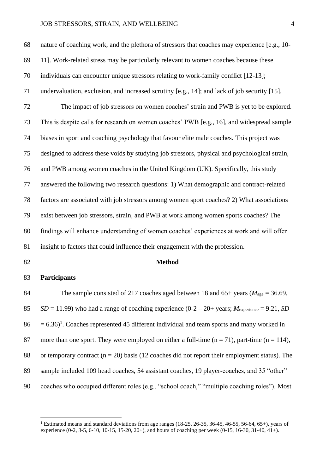nature of coaching work, and the plethora of stressors that coaches may experience [e.g., 10- 11]. Work-related stress may be particularly relevant to women coaches because these individuals can encounter unique stressors relating to work-family conflict [12-13]; undervaluation, exclusion, and increased scrutiny [e.g., 14]; and lack of job security [15]. The impact of job stressors on women coaches' strain and PWB is yet to be explored. This is despite calls for research on women coaches' PWB [e.g., 16], and widespread sample biases in sport and coaching psychology that favour elite male coaches. This project was designed to address these voids by studying job stressors, physical and psychological strain, and PWB among women coaches in the United Kingdom (UK). Specifically, this study answered the following two research questions: 1) What demographic and contract-related factors are associated with job stressors among women sport coaches? 2) What associations exist between job stressors, strain, and PWB at work among women sports coaches? The

findings will enhance understanding of women coaches' experiences at work and will offer

insight to factors that could influence their engagement with the profession.

#### **Method**

#### **Participants**

 The sample consisted of 217 coaches aged between 18 and 65+ years (*M*age = 36.69, 85  $SD = 11.99$ ) who had a range of coaching experience  $(0-2-20+)$  years;  $M_{\text{experience}} = 9.21$ , *SD*  $86 = 6.36$ <sup>1</sup>. Coaches represented 45 different individual and team sports and many worked in 87 more than one sport. They were employed on either a full-time  $(n = 71)$ , part-time  $(n = 114)$ , 88 or temporary contract ( $n = 20$ ) basis (12 coaches did not report their employment status). The 89 sample included 109 head coaches, 54 assistant coaches, 19 player-coaches, and 35 "other" coaches who occupied different roles (e.g., "school coach," "multiple coaching roles"). Most

<sup>&</sup>lt;sup>1</sup> Estimated means and standard deviations from age ranges (18-25, 26-35, 36-45, 46-55, 56-64, 65+), years of experience (0-2, 3-5, 6-10, 10-15, 15-20, 20+), and hours of coaching per week (0-15, 16-30, 31-40, 41+).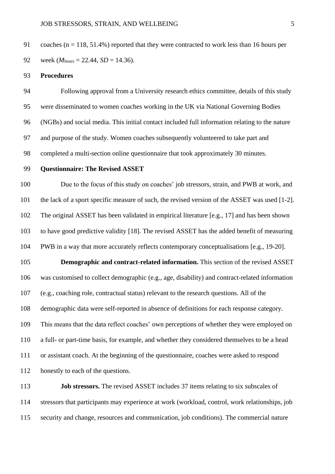91 coaches ( $n = 118, 51.4\%$ ) reported that they were contracted to work less than 16 hours per 92 week  $(M_{\text{hours}} = 22.44, SD = 14.36)$ .

#### **Procedures**

 Following approval from a University research ethics committee, details of this study were disseminated to women coaches working in the UK via National Governing Bodies (NGBs) and social media. This initial contact included full information relating to the nature and purpose of the study. Women coaches subsequently volunteered to take part and completed a multi-section online questionnaire that took approximately 30 minutes.

#### **Questionnaire: The Revised ASSET**

 Due to the focus of this study on coaches' job stressors, strain, and PWB at work, and the lack of a sport specific measure of such, the revised version of the ASSET was used [1-2]. The original ASSET has been validated in empirical literature [e.g., 17] and has been shown to have good predictive validity [18]. The revised ASSET has the added benefit of measuring PWB in a way that more accurately reflects contemporary conceptualisations [e.g., 19-20].

 **Demographic and contract-related information.** This section of the revised ASSET was customised to collect demographic (e.g., age, disability) and contract-related information (e.g., coaching role, contractual status) relevant to the research questions. All of the demographic data were self-reported in absence of definitions for each response category. This means that the data reflect coaches' own perceptions of whether they were employed on a full- or part-time basis, for example, and whether they considered themselves to be a head or assistant coach. At the beginning of the questionnaire, coaches were asked to respond honestly to each of the questions.

**Job stressors.** The revised ASSET includes 37 items relating to six subscales of stressors that participants may experience at work (workload, control, work relationships, job security and change, resources and communication, job conditions). The commercial nature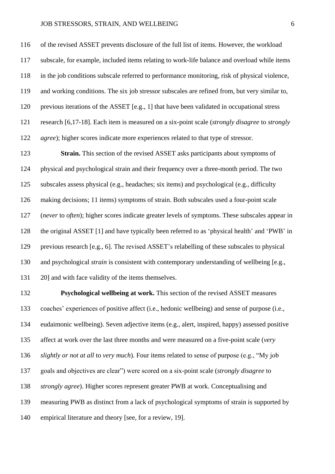of the revised ASSET prevents disclosure of the full list of items. However, the workload subscale, for example, included items relating to work-life balance and overload while items in the job conditions subscale referred to performance monitoring, risk of physical violence, and working conditions. The six job stressor subscales are refined from, but very similar to, previous iterations of the ASSET [e.g., 1] that have been validated in occupational stress research [6,17-18]. Each item is measured on a six-point scale (*strongly disagree* to *strongly agree*); higher scores indicate more experiences related to that type of stressor.

 **Strain.** This section of the revised ASSET asks participants about symptoms of physical and psychological strain and their frequency over a three-month period. The two subscales assess physical (e.g., headaches; six items) and psychological (e.g., difficulty making decisions; 11 items) symptoms of strain. Both subscales used a four-point scale (*never* to *often*); higher scores indicate greater levels of symptoms. These subscales appear in the original ASSET [1] and have typically been referred to as 'physical health' and 'PWB' in previous research [e.g., 6]. The revised ASSET's relabelling of these subscales to physical and psychological *strain* is consistent with contemporary understanding of wellbeing [e.g., 20] and with face validity of the items themselves.

 **Psychological wellbeing at work.** This section of the revised ASSET measures coaches' experiences of positive affect (i.e., hedonic wellbeing) and sense of purpose (i.e., eudaimonic wellbeing). Seven adjective items (e.g., alert, inspired, happy) assessed positive affect at work over the last three months and were measured on a five-point scale (*very slightly or not at all* to *very much*). Four items related to sense of purpose (e.g., "My job goals and objectives are clear") were scored on a six-point scale (*strongly disagree* to *strongly agree*). Higher scores represent greater PWB at work. Conceptualising and measuring PWB as distinct from a lack of psychological symptoms of strain is supported by empirical literature and theory [see, for a review, 19].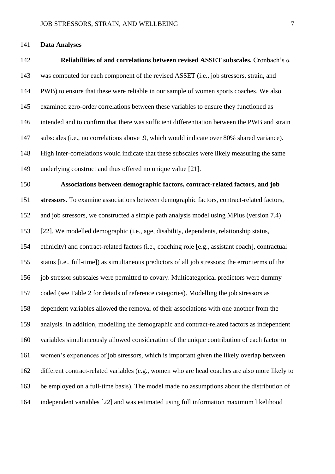#### **Data Analyses**

 **Reliabilities of and correlations between revised ASSET subscales.** Cronbach's α was computed for each component of the revised ASSET (i.e., job stressors, strain, and PWB) to ensure that these were reliable in our sample of women sports coaches. We also examined zero-order correlations between these variables to ensure they functioned as intended and to confirm that there was sufficient differentiation between the PWB and strain subscales (i.e., no correlations above .9, which would indicate over 80% shared variance). High inter-correlations would indicate that these subscales were likely measuring the same underlying construct and thus offered no unique value [21]. **Associations between demographic factors, contract-related factors, and job stressors.** To examine associations between demographic factors, contract-related factors, and job stressors, we constructed a simple path analysis model using MPlus (version 7.4) [22]. We modelled demographic (i.e., age, disability, dependents, relationship status, ethnicity) and contract-related factors (i.e., coaching role [e.g., assistant coach], contractual status [i.e., full-time]) as simultaneous predictors of all job stressors; the error terms of the job stressor subscales were permitted to covary. Multicategorical predictors were dummy coded (see Table 2 for details of reference categories). Modelling the job stressors as dependent variables allowed the removal of their associations with one another from the analysis. In addition, modelling the demographic and contract-related factors as independent variables simultaneously allowed consideration of the unique contribution of each factor to women's experiences of job stressors, which is important given the likely overlap between different contract-related variables (e.g., women who are head coaches are also more likely to be employed on a full-time basis). The model made no assumptions about the distribution of independent variables [22] and was estimated using full information maximum likelihood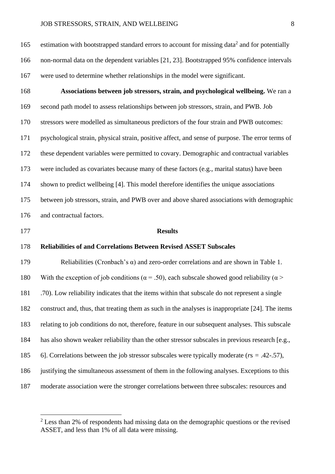165 estimation with bootstrapped standard errors to account for missing data<sup>2</sup> and for potentially non-normal data on the dependent variables [21, 23]. Bootstrapped 95% confidence intervals were used to determine whether relationships in the model were significant.

 **Associations between job stressors, strain, and psychological wellbeing.** We ran a second path model to assess relationships between job stressors, strain, and PWB. Job stressors were modelled as simultaneous predictors of the four strain and PWB outcomes: psychological strain, physical strain, positive affect, and sense of purpose. The error terms of these dependent variables were permitted to covary. Demographic and contractual variables were included as covariates because many of these factors (e.g., marital status) have been shown to predict wellbeing [4]. This model therefore identifies the unique associations between job stressors, strain, and PWB over and above shared associations with demographic and contractual factors.

#### **Results**

#### **Reliabilities of and Correlations Between Revised ASSET Subscales**

 Reliabilities (Cronbach's α) and zero-order correlations and are shown in Table 1. 180 With the exception of job conditions ( $\alpha$  = .50), each subscale showed good reliability ( $\alpha$  > .70). Low reliability indicates that the items within that subscale do not represent a single construct and, thus, that treating them as such in the analyses is inappropriate [24]. The items relating to job conditions do not, therefore, feature in our subsequent analyses. This subscale has also shown weaker reliability than the other stressor subscales in previous research [e.g., 6]. Correlations between the job stressor subscales were typically moderate (*r*s *=* .42-.57), justifying the simultaneous assessment of them in the following analyses. Exceptions to this moderate association were the stronger correlations between three subscales: resources and

<sup>&</sup>lt;sup>2</sup> Less than 2% of respondents had missing data on the demographic questions or the revised ASSET, and less than 1% of all data were missing.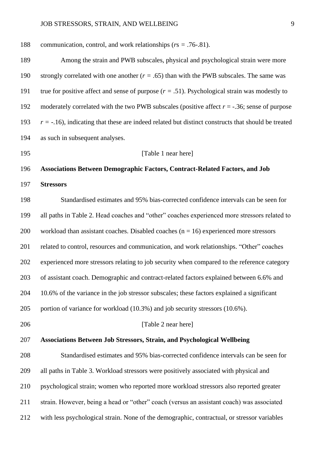| 188 | communication, control, and work relationships ( $rs = .76-.81$ ).                                   |
|-----|------------------------------------------------------------------------------------------------------|
| 189 | Among the strain and PWB subscales, physical and psychological strain were more                      |
| 190 | strongly correlated with one another $(r = .65)$ than with the PWB subscales. The same was           |
| 191 | true for positive affect and sense of purpose $(r = .51)$ . Psychological strain was modestly to     |
| 192 | moderately correlated with the two PWB subscales (positive affect $r = -.36$ ; sense of purpose      |
| 193 | $r = -16$ ), indicating that these are indeed related but distinct constructs that should be treated |
| 194 | as such in subsequent analyses.                                                                      |
| 195 | [Table 1 near here]                                                                                  |
| 196 | Associations Between Demographic Factors, Contract-Related Factors, and Job                          |
| 197 | <b>Stressors</b>                                                                                     |
| 198 | Standardised estimates and 95% bias-corrected confidence intervals can be seen for                   |
| 199 | all paths in Table 2. Head coaches and "other" coaches experienced more stressors related to         |
| 200 | workload than assistant coaches. Disabled coaches $(n = 16)$ experienced more stressors              |
| 201 | related to control, resources and communication, and work relationships. "Other" coaches             |
| 202 | experienced more stressors relating to job security when compared to the reference category          |
| 203 | of assistant coach. Demographic and contract-related factors explained between 6.6% and              |
| 204 | 10.6% of the variance in the job stressor subscales; these factors explained a significant           |
| 205 | portion of variance for workload (10.3%) and job security stressors (10.6%).                         |
| 206 | [Table 2 near here]                                                                                  |
| 207 | <b>Associations Between Job Stressors, Strain, and Psychological Wellbeing</b>                       |
| 208 | Standardised estimates and 95% bias-corrected confidence intervals can be seen for                   |
| 209 | all paths in Table 3. Workload stressors were positively associated with physical and                |
| 210 | psychological strain; women who reported more workload stressors also reported greater               |
| 211 | strain. However, being a head or "other" coach (versus an assistant coach) was associated            |
| 212 | with less psychological strain. None of the demographic, contractual, or stressor variables          |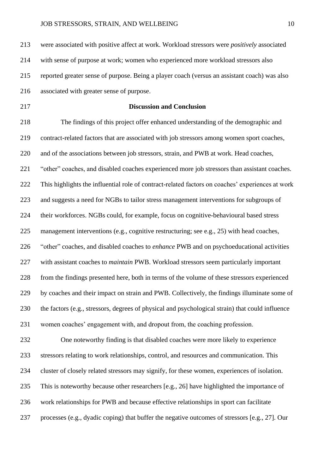were associated with positive affect at work. Workload stressors were *positively* associated with sense of purpose at work; women who experienced more workload stressors also reported greater sense of purpose. Being a player coach (versus an assistant coach) was also associated with greater sense of purpose.

#### **Discussion and Conclusion**

 The findings of this project offer enhanced understanding of the demographic and contract-related factors that are associated with job stressors among women sport coaches, and of the associations between job stressors, strain, and PWB at work. Head coaches, 221 "other" coaches, and disabled coaches experienced more job stressors than assistant coaches. This highlights the influential role of contract-related factors on coaches' experiences at work and suggests a need for NGBs to tailor stress management interventions for subgroups of their workforces. NGBs could, for example, focus on cognitive-behavioural based stress management interventions (e.g., cognitive restructuring; see e.g., 25) with head coaches, "other" coaches, and disabled coaches to *enhance* PWB and on psychoeducational activities with assistant coaches to *maintain* PWB. Workload stressors seem particularly important from the findings presented here, both in terms of the volume of these stressors experienced by coaches and their impact on strain and PWB. Collectively, the findings illuminate some of the factors (e.g., stressors, degrees of physical and psychological strain) that could influence women coaches' engagement with, and dropout from, the coaching profession.

 One noteworthy finding is that disabled coaches were more likely to experience stressors relating to work relationships, control, and resources and communication. This cluster of closely related stressors may signify, for these women, experiences of isolation. This is noteworthy because other researchers [e.g., 26] have highlighted the importance of work relationships for PWB and because effective relationships in sport can facilitate processes (e.g., dyadic coping) that buffer the negative outcomes of stressors [e.g., 27]. Our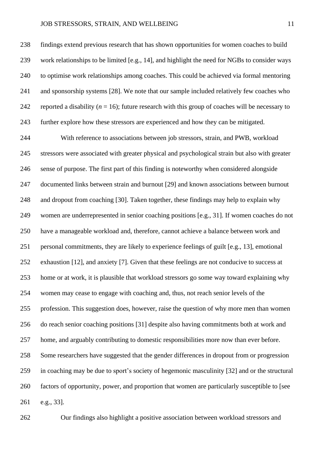findings extend previous research that has shown opportunities for women coaches to build work relationships to be limited [e.g., 14], and highlight the need for NGBs to consider ways to optimise work relationships among coaches. This could be achieved via formal mentoring and sponsorship systems [28]. We note that our sample included relatively few coaches who 242 reported a disability  $(n = 16)$ ; future research with this group of coaches will be necessary to further explore how these stressors are experienced and how they can be mitigated.

 With reference to associations between job stressors, strain, and PWB, workload stressors were associated with greater physical and psychological strain but also with greater sense of purpose. The first part of this finding is noteworthy when considered alongside documented links between strain and burnout [29] and known associations between burnout and dropout from coaching [30]. Taken together, these findings may help to explain why women are underrepresented in senior coaching positions [e.g., 31]. If women coaches do not have a manageable workload and, therefore, cannot achieve a balance between work and personal commitments, they are likely to experience feelings of guilt [e.g., 13], emotional exhaustion [12], and anxiety [7]. Given that these feelings are not conducive to success at home or at work, it is plausible that workload stressors go some way toward explaining why women may cease to engage with coaching and, thus, not reach senior levels of the profession. This suggestion does, however, raise the question of why more men than women do reach senior coaching positions [31] despite also having commitments both at work and home, and arguably contributing to domestic responsibilities more now than ever before. Some researchers have suggested that the gender differences in dropout from or progression in coaching may be due to sport's society of hegemonic masculinity [32] and or the structural factors of opportunity, power, and proportion that women are particularly susceptible to [see e.g., 33].

Our findings also highlight a positive association between workload stressors and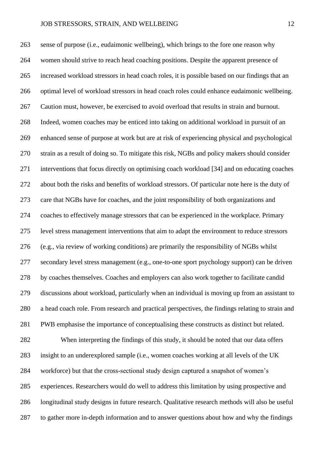sense of purpose (i.e., eudaimonic wellbeing), which brings to the fore one reason why women should strive to reach head coaching positions. Despite the apparent presence of increased workload stressors in head coach roles, it is possible based on our findings that an optimal level of workload stressors in head coach roles could enhance eudaimonic wellbeing. Caution must, however, be exercised to avoid overload that results in strain and burnout. Indeed, women coaches may be enticed into taking on additional workload in pursuit of an enhanced sense of purpose at work but are at risk of experiencing physical and psychological strain as a result of doing so. To mitigate this risk, NGBs and policy makers should consider interventions that focus directly on optimising coach workload [34] and on educating coaches about both the risks and benefits of workload stressors. Of particular note here is the duty of care that NGBs have for coaches, and the joint responsibility of both organizations and coaches to effectively manage stressors that can be experienced in the workplace. Primary level stress management interventions that aim to adapt the environment to reduce stressors (e.g., via review of working conditions) are primarily the responsibility of NGBs whilst secondary level stress management (e.g., one-to-one sport psychology support) can be driven by coaches themselves. Coaches and employers can also work together to facilitate candid discussions about workload, particularly when an individual is moving up from an assistant to a head coach role. From research and practical perspectives, the findings relating to strain and PWB emphasise the importance of conceptualising these constructs as distinct but related. When interpreting the findings of this study, it should be noted that our data offers insight to an underexplored sample (i.e., women coaches working at all levels of the UK workforce) but that the cross-sectional study design captured a snapshot of women's experiences. Researchers would do well to address this limitation by using prospective and longitudinal study designs in future research. Qualitative research methods will also be useful to gather more in-depth information and to answer questions about how and why the findings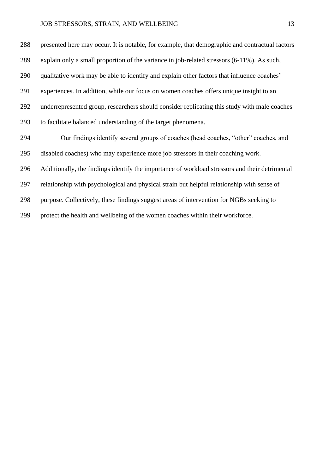presented here may occur. It is notable, for example, that demographic and contractual factors explain only a small proportion of the variance in job-related stressors (6-11%). As such, qualitative work may be able to identify and explain other factors that influence coaches' experiences. In addition, while our focus on women coaches offers unique insight to an underrepresented group, researchers should consider replicating this study with male coaches to facilitate balanced understanding of the target phenomena. Our findings identify several groups of coaches (head coaches, "other" coaches, and disabled coaches) who may experience more job stressors in their coaching work. Additionally, the findings identify the importance of workload stressors and their detrimental relationship with psychological and physical strain but helpful relationship with sense of purpose. Collectively, these findings suggest areas of intervention for NGBs seeking to protect the health and wellbeing of the women coaches within their workforce.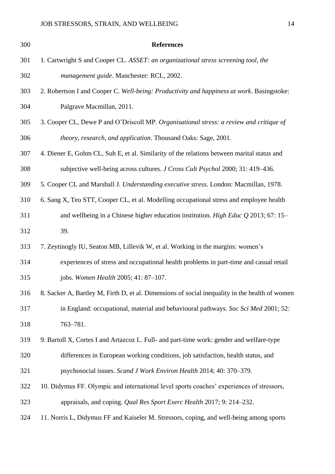| 300 | <b>References</b>                                                                              |
|-----|------------------------------------------------------------------------------------------------|
| 301 | 1. Cartwright S and Cooper CL. ASSET: an organizational stress screening tool, the             |
| 302 | management guide. Manchester: RCL, 2002.                                                       |
| 303 | 2. Robertson I and Cooper C. Well-being: Productivity and happiness at work. Basingstoke:      |
| 304 | Palgrave Macmillan, 2011.                                                                      |
| 305 | 3. Cooper CL, Dewe P and O'Driscoll MP. Organisational stress: a review and critique of        |
| 306 | theory, research, and application. Thousand Oaks: Sage, 2001.                                  |
| 307 | 4. Diener E, Gohm CL, Suh E, et al. Similarity of the relations between marital status and     |
| 308 | subjective well-being across cultures. <i>J Cross Cult Psychol</i> 2000; 31: 419–436.          |
| 309 | 5. Cooper CL and Marshall J. Understanding executive stress. London: Macmillan, 1978.          |
| 310 | 6. Sang X, Teo STT, Cooper CL, et al. Modelling occupational stress and employee health        |
| 311 | and wellbeing in a Chinese higher education institution. High Educ $Q$ 2013; 67: 15-           |
| 312 | 39.                                                                                            |
| 313 | 7. Zeytinogly IU, Seaton MB, Lillevik W, et al. Working in the margins: women's                |
| 314 | experiences of stress and occupational health problems in part-time and casual retail          |
| 315 | jobs. Women Health 2005; 41: 87-107.                                                           |
| 316 | 8. Sacker A, Bartley M, Firth D, et al. Dimensions of social inequality in the health of women |
| 317 | in England: occupational, material and behavioural pathways. Soc Sci Med 2001; 52:             |
| 318 | 763-781.                                                                                       |
| 319 | 9. Bartoll X, Cortes I and Artazcoz L. Full- and part-time work: gender and welfare-type       |
| 320 | differences in European working conditions, job satisfaction, health status, and               |
| 321 | psychosocial issues. Scand J Work Environ Health 2014; 40: 370-379.                            |
| 322 | 10. Didymus FF. Olympic and international level sports coaches' experiences of stressors,      |
| 323 | appraisals, and coping. Qual Res Sport Exerc Health 2017; 9: 214–232.                          |
| 324 | 11. Norris L, Didymus FF and Kaiseler M. Stressors, coping, and well-being among sports        |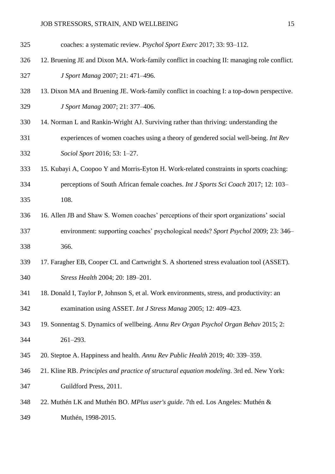- coaches: a systematic review. *Psychol Sport Exerc* 2017; 33: 93–112.
- 12. Bruening JE and Dixon MA. Work-family conflict in coaching II: managing role conflict. *J Sport Manag* 2007; 21: 471–496.
- 13. Dixon MA and Bruening JE. Work-family conflict in coaching I: a top-down perspective. *J Sport Manag* 2007; 21: 377–406.
- 14. Norman L and Rankin-Wright AJ. Surviving rather than thriving: understanding the
- experiences of women coaches using a theory of gendered social well-being. *Int Rev Sociol Sport* 2016; 53: 1–27.
- 15. Kubayi A, Coopoo Y and Morris-Eyton H. Work-related constraints in sports coaching:
- perceptions of South African female coaches. *Int J Sports Sci Coach* 2017; 12: 103– 108.
- 16. Allen JB and Shaw S. Women coaches' perceptions of their sport organizations' social environment: supporting coaches' psychological needs? *Sport Psychol* 2009; 23: 346– 366.
- 17. Faragher EB, Cooper CL and Cartwright S. A shortened stress evaluation tool (ASSET). *Stress Health* 2004; 20: 189–201.
- 18. Donald I, Taylor P, Johnson S, et al. Work environments, stress, and productivity: an examination using ASSET. *Int J Stress Manag* 2005; 12: 409–423.
- 19. Sonnentag S. Dynamics of wellbeing. *Annu Rev Organ Psychol Organ Behav* 2015; 2: 261–293.
- 20. Steptoe A. Happiness and health. *Annu Rev Public Health* 2019; 40: 339–359.
- 21. Kline RB. *Principles and practice of structural equation modeling.* 3rd ed. New York: Guildford Press, 2011.
- 22. Muthén LK and Muthén BO. *MPlus user's guide*. 7th ed. Los Angeles: Muthén & Muthén, 1998-2015.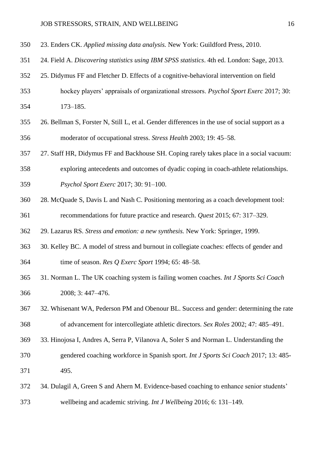- 23. Enders CK. *Applied missing data analysis.* New York: Guildford Press, 2010.
- 24. Field A. *Discovering statistics using IBM SPSS statistics*. 4th ed. London: Sage, 2013.
- 25. Didymus FF and Fletcher D. Effects of a cognitive-behavioral intervention on field
- hockey players' appraisals of organizational stressors. *Psychol Sport Exerc* 2017; 30: 173–185.
- 26. Bellman S, Forster N, Still L, et al. Gender differences in the use of social support as a moderator of occupational stress. *Stress Health* 2003; 19: 45–58.
- 27. Staff HR, Didymus FF and Backhouse SH. Coping rarely takes place in a social vacuum:
- exploring antecedents and outcomes of dyadic coping in coach-athlete relationships.
- *Psychol Sport Exerc* 2017; 30: 91–100.
- 28. McQuade S, Davis L and Nash C. Positioning mentoring as a coach development tool:
- recommendations for future practice and research. *Quest* 2015; 67: 317–329.
- 29. Lazarus RS. *Stress and emotion: a new synthesis.* New York: Springer, 1999.
- 30. Kelley BC. A model of stress and burnout in collegiate coaches: effects of gender and time of season. *Res Q Exerc Sport* 1994; 65: 48–58.
- 31. Norman L. The UK coaching system is failing women coaches. *Int J Sports Sci Coach* 2008; 3: 447–476.
- 32. Whisenant WA, Pederson PM and Obenour BL. Success and gender: determining the rate of advancement for intercollegiate athletic directors. *Sex Roles* 2002; 47: 485–491.
- 33. Hinojosa I, Andres A, Serra P, Vilanova A, Soler S and Norman L. Understanding the
- gendered coaching workforce in Spanish sport. *Int J Sports Sci Coach* 2017; 13: 485- 495.
- 34. Dulagil A, Green S and Ahern M. Evidence-based coaching to enhance senior students' wellbeing and academic striving. *Int J Wellbeing* 2016; 6: 131–149.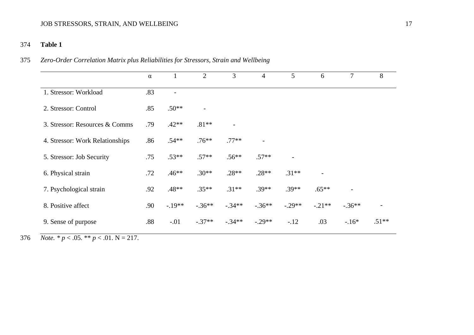#### 374 **Table 1**

#### 375 *Zero-Order Correlation Matrix plus Reliabilities for Stressors, Strain and Wellbeing*

|                                 | $\alpha$ | 1                        | $\overline{2}$           | 3                        | $\overline{4}$           | $5\overline{)}$ | 6                        | $\tau$                   | 8       |
|---------------------------------|----------|--------------------------|--------------------------|--------------------------|--------------------------|-----------------|--------------------------|--------------------------|---------|
| 1. Stressor: Workload           | .83      | $\overline{\phantom{a}}$ |                          |                          |                          |                 |                          |                          |         |
| 2. Stressor: Control            | .85      | $.50**$                  | $\overline{\phantom{a}}$ |                          |                          |                 |                          |                          |         |
| 3. Stressor: Resources & Comms  | .79      | $.42**$                  | $.81**$                  | $\overline{\phantom{0}}$ |                          |                 |                          |                          |         |
| 4. Stressor: Work Relationships | .86      | $.54**$                  | $.76**$                  | $.77**$                  | $\overline{\phantom{a}}$ |                 |                          |                          |         |
| 5. Stressor: Job Security       | .75      | $.53**$                  | $.57**$                  | $.56**$                  | $.57**$                  |                 |                          |                          |         |
| 6. Physical strain              | .72      | $.46**$                  | $.30**$                  | $.28**$                  | $.28**$                  | $.31**$         | $\overline{\phantom{a}}$ |                          |         |
| 7. Psychological strain         | .92      | .48**                    | $.35**$                  | $.31**$                  | $.39**$                  | $.39**$         | $.65**$                  | $\overline{\phantom{0}}$ |         |
| 8. Positive affect              | .90      | $-.19**$                 | $-.36**$                 | $-.34**$                 | $-.36**$                 | $-.29**$        | $-.21**$                 | $-.36**$                 |         |
| 9. Sense of purpose             | .88      | $-.01$                   | $-.37**$                 | $-.34**$                 | $-.29**$                 | $-12$           | .03                      | $-.16*$                  | $.51**$ |

376 *Note.* \*  $p < .05$ . \* \*  $p < .01$ . N = 217.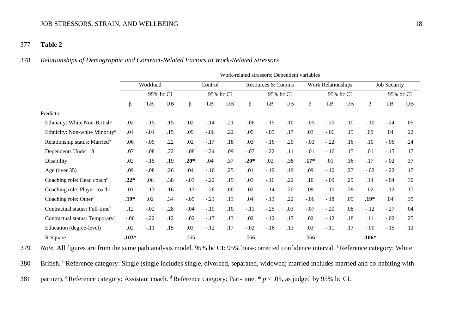#### 377 **Table 2**

#### 378 *Relationships of Demographic and Contract-Related Factors to Work-Related Stressors*

|                                            | Work-related stressors: Dependent variables |           |           |           |        |           |                   |        |           |                           |        |           |                     |        |           |
|--------------------------------------------|---------------------------------------------|-----------|-----------|-----------|--------|-----------|-------------------|--------|-----------|---------------------------|--------|-----------|---------------------|--------|-----------|
|                                            |                                             | Workload  |           | Control   |        |           | Resources & Comms |        |           | <b>Work Relationships</b> |        |           | <b>Job Security</b> |        |           |
|                                            |                                             | 95% bc CI |           | 95% bc CI |        |           | 95% bc CI         |        |           | 95% bc CI                 |        |           | 95% bc CI           |        |           |
|                                            | β                                           | LB        | <b>UB</b> | β         | LB     | <b>UB</b> | β                 | LB     | <b>UB</b> | $\beta$                   | LB     | <b>UB</b> | β                   | LB     | <b>UB</b> |
| Predictor                                  |                                             |           |           |           |        |           |                   |        |           |                           |        |           |                     |        |           |
| Ethnicity: White Non-British <sup>a</sup>  | .02                                         | $-.15$    | .15       | .02       | $-.14$ | .21       | $-.06$            | $-.19$ | .10       | $-.05$                    | $-.20$ | .10       | $-.10$              | $-.24$ | .05       |
| Ethnicity: Non-white Minority <sup>a</sup> | .04                                         | $-.04$    | .15       | .09       | $-.06$ | .22       | .05               | $-.05$ | .17       | .03                       | $-.06$ | .15       | .09                 | .04    | .22       |
| Relationship status: Married <sup>b</sup>  | .06                                         | $-0.09$   | .22       | .02       | $-.17$ | .18       | .03               | $-.16$ | .20       | $-.03$                    | $-.22$ | .16       | .10                 | $-.06$ | .24       |
| Dependents Under 18                        | .07                                         | $-.08$    | .22       | $-.08$    | $-.24$ | .09       | $-.07$            | $-.22$ | .11       | $-.01$                    | $-.16$ | .15       | .01                 | $-.15$ | .17       |
| Disability                                 | .02                                         | $-.15$    | .19       | $.20*$    | .04    | .37       | $.20*$            | .02    | .38       | $.17*$                    | .01    | .36       | .17                 | $-.02$ | .37       |
| Age (over 35)                              | .09                                         | $-.08$    | .26       | .04       | $-.16$ | .25       | .01               | $-.19$ | .19       | .09                       | $-.10$ | .27       | $-.02$              | $-.22$ | .17       |
| Coaching role: Head coach <sup>c</sup>     | $.22*$                                      | .06       | .38       | $-.03$    | $-.22$ | .15       | .03               | $-.16$ | .22       | .10                       | $-.09$ | .29       | .14                 | $-.04$ | .30       |
| Coaching role: Player coach <sup>c</sup>   | .01                                         | $-.13$    | .16       | $-.13$    | $-.26$ | .00       | .02               | $-.14$ | .20       | .09                       | $-.10$ | .28       | .02                 | $-.12$ | .17       |
| Coaching role: Other <sup>c</sup>          | .19*                                        | .02       | .34       | $-.05$    | $-.23$ | .13       | .04               | $-.13$ | .22       | $-.06$                    | $-.18$ | .09       | .19*                | .04    | .35       |
| Contractual status: Full-time <sup>d</sup> | .12                                         | $-.02$    | .28       | $-.04$    | $-.19$ | .10       | $-.11$            | $-.25$ | .03       | $-.07$                    | $-.20$ | .08       | $-.12$              | $-.27$ | .04       |
| Contractual status: Temporary <sup>d</sup> | $-.06$                                      | $-.22$    | .12       | $-.02$    | $-.17$ | .13       | .02               | $-.12$ | .17       | .02                       | $-.12$ | .18       | .11                 | $-.02$ | .25       |
| Education (degree-level)                   | .02                                         | $-.11$    | .15       | .03       | $-.12$ | .17       | $-.02$            | $-.16$ | .13       | .03                       | $-.11$ | .17       | $-.00$              | $-.15$ | .12       |
| R Square                                   | $.103*$                                     |           |           | .065      |        |           | .066              |        |           | .066                      |        |           | $.106*$             |        |           |

*Note.* All figures are from the same path analysis model. 95% bc CI: 95% bias-corrected confidence interval. <sup>a</sup> Reference category: White

380 British. <sup>b</sup>Reference category: Single (single includes single, divorced, separated, widowed; married includes married and co-habiting with

381 partner). <sup>c</sup>Reference category: Assistant coach. <sup>d</sup>Reference category: Part-time.  $* p < .05$ , as judged by 95% bc CI.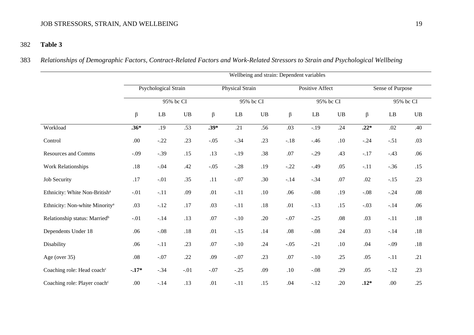#### 382 **Table 3**

383 *Relationships of Demographic Factors, Contract-Related Factors and Work-Related Stressors to Strain and Psychological Wellbeing*

|                                            | Wellbeing and strain: Dependent variables |                        |           |         |                        |               |         |                 |               |                  |          |               |  |
|--------------------------------------------|-------------------------------------------|------------------------|-----------|---------|------------------------|---------------|---------|-----------------|---------------|------------------|----------|---------------|--|
|                                            |                                           | Psychological Strain   |           |         | Physical Strain        |               |         | Positive Affect |               | Sense of Purpose |          |               |  |
|                                            |                                           |                        | 95% bc CI |         |                        | 95% bc CI     |         |                 | 95% bc CI     |                  |          | 95% bc CI     |  |
|                                            | $\beta$                                   | $\mathbf{L}\mathbf{B}$ | UB        | $\beta$ | $\mathbf{L}\mathbf{B}$ | $\mathbf{UB}$ | $\beta$ | LB              | $\mathbf{UB}$ | $\beta$          | $\rm LB$ | $\mathbf{UB}$ |  |
| Workload                                   | $.36*$                                    | .19                    | .53       | $.39*$  | $\overline{.21}$       | .56           | .03     | $-.19$          | .24           | $.22*$           | .02      | .40           |  |
| Control                                    | .00.                                      | $-.22$                 | .23       | $-.05$  | $-.34$                 | .23           | $-.18$  | $-.46$          | .10           | $-.24$           | $-.51$   | .03           |  |
| <b>Resources and Comms</b>                 | $-.09$                                    | $-.39$                 | .15       | .13     | $-.19$                 | .38           | .07     | $-.29$          | .43           | $-.17$           | $-.43$   | .06           |  |
| <b>Work Relationships</b>                  | .18                                       | $-.04$                 | .42       | $-.05$  | $-.28$                 | .19           | $-.22$  | $-.49$          | .05           | $-.11$           | $-.36$   | .15           |  |
| <b>Job Security</b>                        | $.17$                                     | $-.01$                 | .35       | .11     | $-.07$                 | .30           | $-.14$  | $-.34$          | $.07$         | .02              | $-.15$   | .23           |  |
| Ethnicity: White Non-British <sup>a</sup>  | $-.01$                                    | $-.11$                 | .09       | .01     | $-.11$                 | .10           | .06     | $-.08$          | .19           | $-.08$           | $-.24$   | $.08\,$       |  |
| Ethnicity: Non-white Minority <sup>a</sup> | .03                                       | $-.12$                 | $.17$     | .03     | $-.11$                 | $.18$         | .01     | $-.13$          | .15           | $-.03$           | $-.14$   | .06           |  |
| Relationship status: Married <sup>b</sup>  | $-.01$                                    | $-.14$                 | .13       | .07     | $-.10$                 | .20           | $-.07$  | $-.25$          | $.08\,$       | .03              | $-.11$   | .18           |  |
| Dependents Under 18                        | .06                                       | $-.08$                 | .18       | .01     | $-.15$                 | .14           | $.08\,$ | $-.08$          | .24           | .03              | $-.14$   | $.18\,$       |  |
| Disability                                 | .06                                       | $-.11$                 | .23       | .07     | $-.10$                 | .24           | $-.05$  | $-.21$          | .10           | .04              | $-.09$   | .18           |  |
| Age (over 35)                              | $.08\,$                                   | $-.07$                 | .22       | .09     | $-.07$                 | .23           | .07     | $-.10$          | .25           | .05              | $-.11$   | .21           |  |
| Coaching role: Head coach <sup>c</sup>     | $-.17*$                                   | $-.34$                 | $-.01$    | $-.07$  | $-.25$                 | .09           | $.10\,$ | $-.08$          | .29           | .05              | $-.12$   | .23           |  |
| Coaching role: Player coach <sup>c</sup>   | .00                                       | $-.14$                 | .13       | .01     | $-.11$                 | .15           | .04     | $-.12$          | .20           | $.12*$           | .00      | .25           |  |